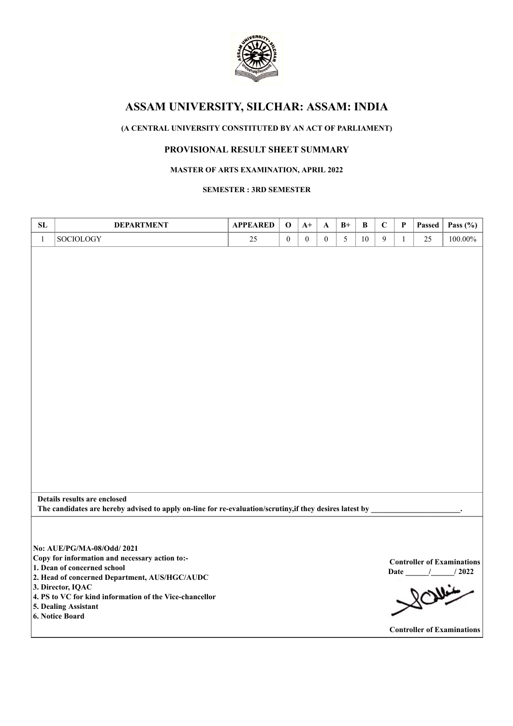

# **(A CENTRAL UNIVERSITY CONSTITUTED BY AN ACT OF PARLIAMENT)**

# **PROVISIONAL RESULT SHEET SUMMARY**

## **MASTER OF ARTS EXAMINATION, APRIL 2022**

### **SEMESTER : 3RD SEMESTER**

| SL           | <b>DEPARTMENT</b>                                                                                                                                                                                                                                                                       | <b>APPEARED</b> | $\mathbf 0$      | $A+$             | $\mathbf{A}$     | $B+$ | $\, {\bf B}$ | $\mathbf C$    | $\mathbf P$  | Passed                            | Pass $(\% )$                                               |
|--------------|-----------------------------------------------------------------------------------------------------------------------------------------------------------------------------------------------------------------------------------------------------------------------------------------|-----------------|------------------|------------------|------------------|------|--------------|----------------|--------------|-----------------------------------|------------------------------------------------------------|
| $\mathbf{1}$ | SOCIOLOGY                                                                                                                                                                                                                                                                               | 25              | $\boldsymbol{0}$ | $\boldsymbol{0}$ | $\boldsymbol{0}$ | 5    | $10\,$       | $\overline{9}$ | $\mathbf{1}$ | 25                                | $100.00\%$                                                 |
|              | Details results are enclosed                                                                                                                                                                                                                                                            |                 |                  |                  |                  |      |              |                |              |                                   |                                                            |
|              | The candidates are hereby advised to apply on-line for re-evaluation/scrutiny, if they desires latest by                                                                                                                                                                                |                 |                  |                  |                  |      |              |                |              |                                   |                                                            |
|              | No: AUE/PG/MA-08/Odd/ 2021<br>Copy for information and necessary action to:-<br>1. Dean of concerned school<br>2. Head of concerned Department, AUS/HGC/AUDC<br>3. Director, IQAC<br>4. PS to VC for kind information of the Vice-chancellor<br>5. Dealing Assistant<br>6. Notice Board |                 |                  |                  |                  |      |              |                |              |                                   | <b>Controller of Examinations</b><br>Date $\frac{1}{2022}$ |
|              |                                                                                                                                                                                                                                                                                         |                 |                  |                  |                  |      |              |                |              | <b>Controller of Examinations</b> |                                                            |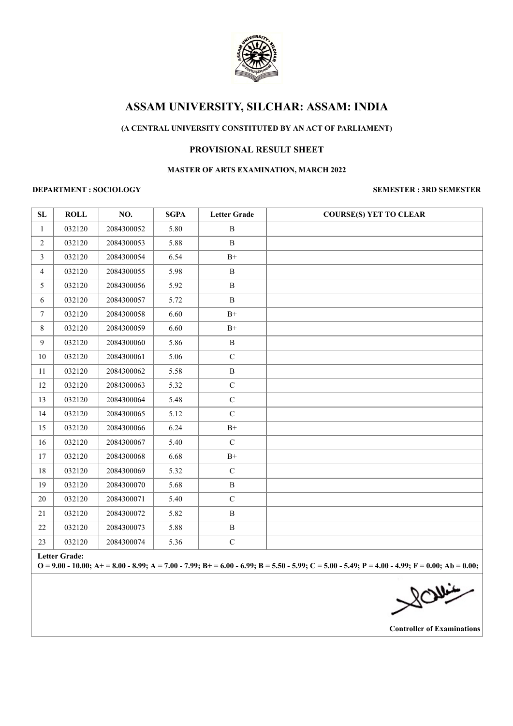

# **(A CENTRAL UNIVERSITY CONSTITUTED BY AN ACT OF PARLIAMENT)**

## **PROVISIONAL RESULT SHEET**

### **MASTER OF ARTS EXAMINATION, MARCH 2022**

#### **DEPARTMENT : SOCIOLOGY SEMESTER : 3RD SEMESTER**

| SL                                                                                                                                                                          | <b>ROLL</b> | NO.        | <b>SGPA</b> | <b>Letter Grade</b> | <b>COURSE(S) YET TO CLEAR</b> |
|-----------------------------------------------------------------------------------------------------------------------------------------------------------------------------|-------------|------------|-------------|---------------------|-------------------------------|
| $\mathbf{1}$                                                                                                                                                                | 032120      | 2084300052 | 5.80        | B                   |                               |
| $\overline{2}$                                                                                                                                                              | 032120      | 2084300053 | 5.88        | $\, {\bf B}$        |                               |
| $\mathfrak{Z}$                                                                                                                                                              | 032120      | 2084300054 | 6.54        | $\mathrm{B}^{+}$    |                               |
| $\overline{4}$                                                                                                                                                              | 032120      | 2084300055 | 5.98        | $\, {\bf B}$        |                               |
| 5                                                                                                                                                                           | 032120      | 2084300056 | 5.92        | $\mathbf{B}$        |                               |
| 6                                                                                                                                                                           | 032120      | 2084300057 | 5.72        | $\, {\bf B}$        |                               |
| $7\phantom{.0}$                                                                                                                                                             | 032120      | 2084300058 | 6.60        | $B+$                |                               |
| 8                                                                                                                                                                           | 032120      | 2084300059 | 6.60        | $\mathrm{B}^{+}$    |                               |
| 9                                                                                                                                                                           | 032120      | 2084300060 | 5.86        | $\, {\bf B}$        |                               |
| 10                                                                                                                                                                          | 032120      | 2084300061 | 5.06        | $\mathbf C$         |                               |
| 11                                                                                                                                                                          | 032120      | 2084300062 | 5.58        | $\, {\bf B}$        |                               |
| 12                                                                                                                                                                          | 032120      | 2084300063 | 5.32        | $\mathbf C$         |                               |
| 13                                                                                                                                                                          | 032120      | 2084300064 | 5.48        | $\mathbf C$         |                               |
| 14                                                                                                                                                                          | 032120      | 2084300065 | 5.12        | $\mathbf C$         |                               |
| 15                                                                                                                                                                          | 032120      | 2084300066 | 6.24        | $\mathrm{B}^{+}$    |                               |
| 16                                                                                                                                                                          | 032120      | 2084300067 | 5.40        | $\mathbf C$         |                               |
| 17                                                                                                                                                                          | 032120      | 2084300068 | 6.68        | $\mathrm{B}^{+}$    |                               |
| 18                                                                                                                                                                          | 032120      | 2084300069 | 5.32        | $\mathcal{C}$       |                               |
| 19                                                                                                                                                                          | 032120      | 2084300070 | 5.68        | $\, {\bf B}$        |                               |
| 20                                                                                                                                                                          | 032120      | 2084300071 | 5.40        | $\mathbf C$         |                               |
| 21                                                                                                                                                                          | 032120      | 2084300072 | 5.82        | $\, {\bf B}$        |                               |
| 22                                                                                                                                                                          | 032120      | 2084300073 | 5.88        | $\, {\bf B}$        |                               |
| 23                                                                                                                                                                          | 032120      | 2084300074 | 5.36        | ${\bf C}$           |                               |
| <b>Letter Grade:</b><br>$O = 9.00 - 10.00$ ; A + = 8.00 - 8.99; A = 7.00 - 7.99; B + = 6.00 - 6.99; B = 5.50 - 5.99; C = 5.00 - 5.49; P = 4.00 - 4.99; F = 0.00; Ab = 0.00; |             |            |             |                     |                               |

**NOW!** 

**Controller of Examinations**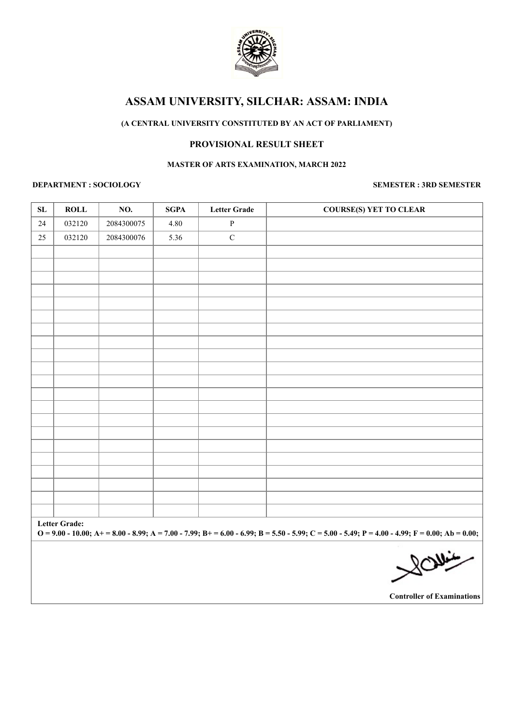

## **(A CENTRAL UNIVERSITY CONSTITUTED BY AN ACT OF PARLIAMENT)**

### **PROVISIONAL RESULT SHEET**

#### **MASTER OF ARTS EXAMINATION, MARCH 2022**

### **DEPARTMENT : SOCIOLOGY SEMESTER : 3RD SEMESTER**

| ${\bf SL}$                                                                                                                                                                | <b>ROLL</b> | NO.        | <b>SGPA</b> | <b>Letter Grade</b> | <b>COURSE(S) YET TO CLEAR</b> |  |  |  |
|---------------------------------------------------------------------------------------------------------------------------------------------------------------------------|-------------|------------|-------------|---------------------|-------------------------------|--|--|--|
| 24                                                                                                                                                                        | 032120      | 2084300075 | 4.80        | $\, {\bf P}$        |                               |  |  |  |
| 25                                                                                                                                                                        | 032120      | 2084300076 | 5.36        | $\mathbf C$         |                               |  |  |  |
|                                                                                                                                                                           |             |            |             |                     |                               |  |  |  |
|                                                                                                                                                                           |             |            |             |                     |                               |  |  |  |
|                                                                                                                                                                           |             |            |             |                     |                               |  |  |  |
|                                                                                                                                                                           |             |            |             |                     |                               |  |  |  |
|                                                                                                                                                                           |             |            |             |                     |                               |  |  |  |
|                                                                                                                                                                           |             |            |             |                     |                               |  |  |  |
|                                                                                                                                                                           |             |            |             |                     |                               |  |  |  |
|                                                                                                                                                                           |             |            |             |                     |                               |  |  |  |
|                                                                                                                                                                           |             |            |             |                     |                               |  |  |  |
|                                                                                                                                                                           |             |            |             |                     |                               |  |  |  |
|                                                                                                                                                                           |             |            |             |                     |                               |  |  |  |
|                                                                                                                                                                           |             |            |             |                     |                               |  |  |  |
|                                                                                                                                                                           |             |            |             |                     |                               |  |  |  |
|                                                                                                                                                                           |             |            |             |                     |                               |  |  |  |
|                                                                                                                                                                           |             |            |             |                     |                               |  |  |  |
|                                                                                                                                                                           |             |            |             |                     |                               |  |  |  |
|                                                                                                                                                                           |             |            |             |                     |                               |  |  |  |
|                                                                                                                                                                           |             |            |             |                     |                               |  |  |  |
|                                                                                                                                                                           |             |            |             |                     |                               |  |  |  |
|                                                                                                                                                                           |             |            |             |                     |                               |  |  |  |
| <b>Letter Grade:</b><br>$O = 9.00 - 10.00$ ; A+ = 8.00 - 8.99; A = 7.00 - 7.99; B+ = 6.00 - 6.99; B = 5.50 - 5.99; C = 5.00 - 5.49; P = 4.00 - 4.99; F = 0.00; Ab = 0.00; |             |            |             |                     |                               |  |  |  |
|                                                                                                                                                                           |             |            |             |                     | 2011                          |  |  |  |
|                                                                                                                                                                           |             |            |             |                     |                               |  |  |  |

**Controller of Examinations**